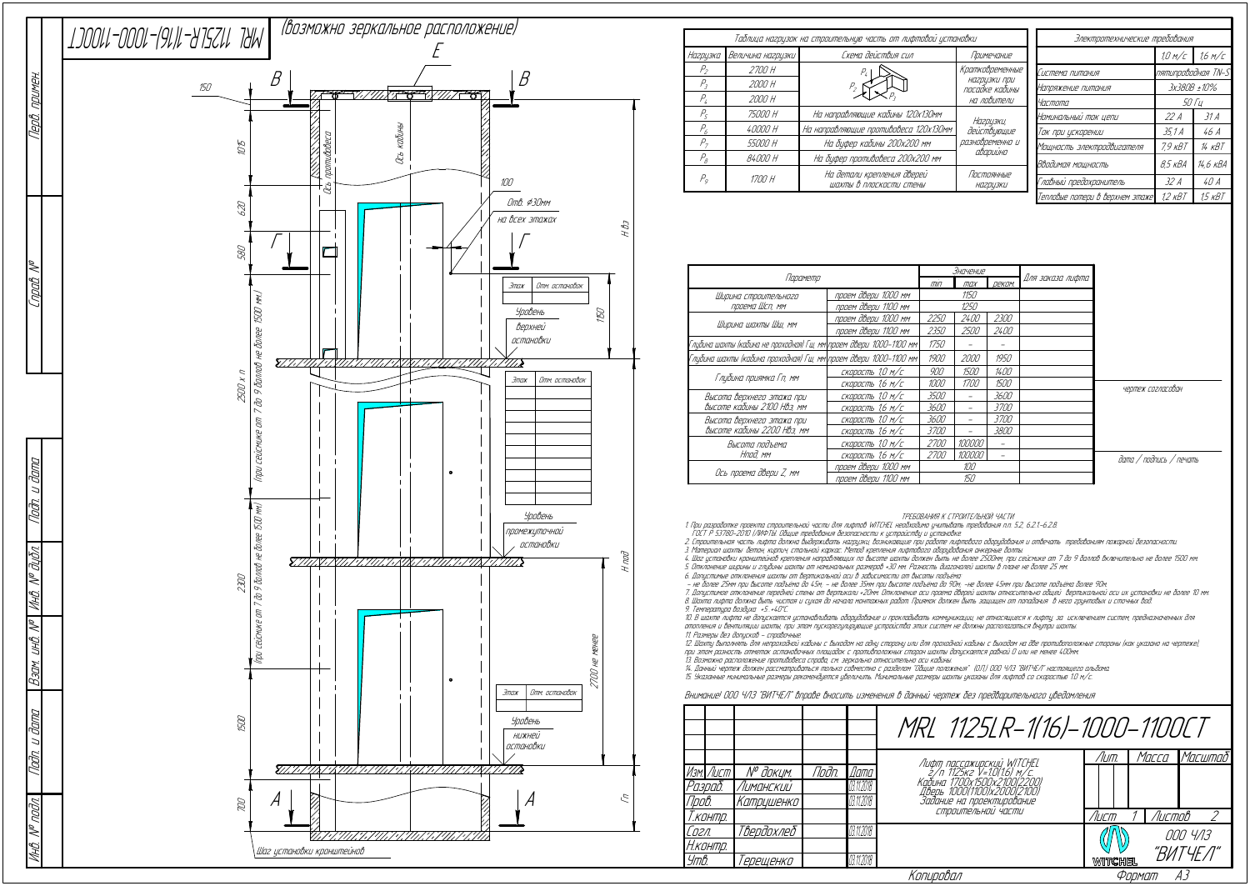| Параметр                                                             |                     |             | <u>Значение</u> |               |                  |
|----------------------------------------------------------------------|---------------------|-------------|-----------------|---------------|------------------|
|                                                                      |                     |             | max             | <i>DEKOM.</i> | Для заказа лифта |
| Ширина строительного                                                 | проем двери 1000 мм | 1150        |                 |               |                  |
| проема Шсп, мм                                                       | проем двери 1100 мм | 1250        |                 |               |                  |
|                                                                      | проем двери 1000 мм | 2250        | <i>2400</i>     | <i>2300</i>   |                  |
| Ширина шахты Шш, мм                                                  | проем двери 1100 мм | 2350        | 2500            | <i>2400</i>   |                  |
| Глибина шахты (кабина не проходная) Гш, мм\проем двери 1000–1100 мм\ | 1750                |             |                 |               |                  |
| Глубина шахты (кабина проходная) Гш, мм\проем двери 1000–1100 мм\    | 1900                | 2000        | 1950            |               |                  |
|                                                                      | скорость 1,0 м/с    | 900         | 1500            | 1400          |                  |
| Глубина приямка Гп, мм                                               | скорость 1,6 м/с    | 1000        | <i>1700</i>     | 1500          |                  |
| Высота верхнего этажа при                                            | скорость 1,0 м/с    | 3500        |                 | 3600          |                  |
| Высоте кабины 2100 НВэ, мм                                           | скорость 1,6 м/с    | 3600        |                 | <i>3700</i>   |                  |
| Высота верхнего этажа при                                            | скорость 1,0 м/с    | 3600        |                 | <i>3700</i>   |                  |
| Высоте кабины 2200 НВэ, мм                                           | скорость 1,6 м/с    | <i>3700</i> |                 | 3800          |                  |
| Высота подъема                                                       | скорость 1,0 м/с    | <i>2700</i> | 100000          |               |                  |
| Нпод. мм                                                             | скорость 1,6 м/с    | <i>2700</i> | 100000          |               |                  |
|                                                                      | проем двери 1000 мм | 100         |                 |               |                  |
| Ось проема двери Z, мм                                               | проем двери 1100 мм | 150         |                 |               |                  |

ТРЕБОВАНИЯ К СТРОИТЕЛЬНОЙ ЧАСТИ

1. При разработке проекта строительной части для лифтов WITCHEL необходимо учитывать требования <sup>п</sup>.п. 5.2, 6.2.1.-6.2.8.

ГОСТ Р 53780-2010 (ЛИФТЫ. Общие требования безопасности <sup>к</sup> устройству <sup>и</sup> установке.

2. Строительная часть лифта должна выдерживать нагрузки, возникающие при работе лифтового оборудования <sup>и</sup> отвечать требованиям пожарной безопасности.

12. Шахту выполнять для непроходной кабины <sup>с</sup> выходом на одну сторону или для проходной кабины <sup>с</sup> выходом на две противоположные стороны (как указано на чертеже), при этом разность отметок остановочных площадок <sup>с</sup> противположных сторон шахты допускается равной 0 или не менее 400мм. 13. Возможно расположение противовеса справа, см. зеркально относительно оси кабины.<br>14. Данный чертеж должен рассматриваться только совместно с разделом "Общие положения" (О.П.) ООО ЧЛЗ "ВИТЧЕЛ" настоящего альбома.<br>15. У

3. Материал шахты: бетон, кирпич, стальной каркас. Метод крепления лифтового оборудования анкерные болты.

4. Шаг установки кронштейнов крепления направляющих по высоте шахты должен быть не более 2500мм, при сейсмике от 7 до 9 баллов включительно не более 1500 мм. 5. Отклонение ширины <sup>и</sup> глубины шахты от номинальных размеров +30 мм. Разность диагоналей шахты в плане не более 25 мм.

6. Допустимые отклонения шахты от вертикальной оси в зависимости от высоты подъёма:<br>– не более 25мм при высоте подъёма до 45м; – не более 35мм при высоте подъёма до 90м; -не более 45мм при высоте подъёма более 90м

7. Допустимое отклонение передней стены от вертикали +20мм. Отклонение оси проема дверей шахты относительно общей вертикальной оси их установки не более 10 мм. 8. Шахта лифта должна быть чистая <sup>и</sup> сухая до начала монтажных работ. Приямок должен быть защищен от попадания в него грунтовых <sup>и</sup> сточных вод.

9. Температура воздуха +5…+40°С.

10. В шахте лифта не допускается устанавливать оборудование <sup>и</sup> прокладывать коммуникации, не относящиеся <sup>к</sup> лифту, за исключением систем, предназначенных для отопления и вентиляции шахты, при этом пускорегулирующие устройства этих систем не должны располагаться внутри шахты 11. Размеры без допусков - справочные.

|                           |                       |       |             | MRL 1125LR-1(16)-1000-1100CT                               |                |        |          |  |
|---------------------------|-----------------------|-------|-------------|------------------------------------------------------------|----------------|--------|----------|--|
|                           |                       |       |             |                                                            | /Іит.          | Масса  | Масштаб  |  |
| Изм. Лист                 | N <sup>o</sup> доким. | Noðn. | <i>Dama</i> | Лифт пассажирский WITCHEL<br>2/п 1125кг V=1.0(1.6) м/с.    |                |        |          |  |
| Разраб.                   | Лиманский             |       | 03.11.2018  | Кабина 1700х1500х2100(2200)<br>Дверь 1000(1100)х2000(2100) |                |        |          |  |
| Npob.                     | Катрцшенко            |       | 03.11.2018  | Задание на проектирование                                  |                |        |          |  |
| Т.контр.                  |                       |       |             | СТООИТЕЛЬНОЙ ЧАСТИ                                         | Лист           | Листов |          |  |
| Согл.                     | Твердохлеб            |       | 03.11.2018  |                                                            |                |        | 000 4/13 |  |
| Н.контр.                  |                       |       |             |                                                            |                |        | "ВИТЧЕЛ" |  |
| Утв.                      | 'ерещенко             |       | 03.11.2018  |                                                            | <b>WITCHEL</b> |        |          |  |
| Копировал<br>Формат<br>AЗ |                       |       |             |                                                            |                |        |          |  |

## Внимание! ООО ЧЛЗ "ВИТЧЕЛ" вправе вносить изменения в данный чертеж без предварительного уведомления

|                |                     | Таблица нагрцзок на строительную часть от лифтовой установки | Электротехнические требования  |                                 |                    |            |
|----------------|---------------------|--------------------------------------------------------------|--------------------------------|---------------------------------|--------------------|------------|
| Нагрузка       | Величина нагрцзки ! | Схема действия сил                                           | Примечание                     |                                 | 1.0 M/c            | 1.6 M/C    |
| $P_{2}$        | <i>2700 H</i>       |                                                              | Кратковременные                | Система питания                 | nятипроводная TN-S |            |
| Р,             | 2000 H              |                                                              | нагрузки при<br>посадке кабины | Напряжение питания              | 3x380B ±10%        |            |
| Р,             | 2000 H              |                                                              | на ловители                    | <i>Частота</i>                  | <i>50 Ги</i>       |            |
| $P_c$          | 75000 H             | На направляющие кабины 120х130мм                             | Нагризки,                      | Номинальный ток цепи            | 22A                | 31 A       |
| P <sub>6</sub> | 40000 H             | На направляющие противовеса 120х130мм                        | действующие                    | Ток при ускорении               | 35,1 A             | 46 A       |
| $P_{\tau}$     | 55000 H             | На буфер кабины 200х200 мм                                   | разновременно и                | Мощность электродвигателя       | $79$ $KBT$         | $14$ $KBT$ |
| $P_{\beta}$    | 84000 H             | На буфер противовеса 200х200 мм                              | аварийно                       | Вводимая мощность               | $8.5$ $\kappa BA$  | 14,6 кВА   |
| $P_q$          | 1700 H              | На детали крепления дверей<br>шахты в плоскости стены        | Постоянные<br><b>НА2РЦЗКИ</b>  | Главный предохранитель          | 32 A               | 40A        |
|                |                     |                                                              |                                | Тепловые потери в верхнем этаже | 1.2 кВТ            | 1,5 кВТ    |

дата / подпись / печать

чертеж согласован